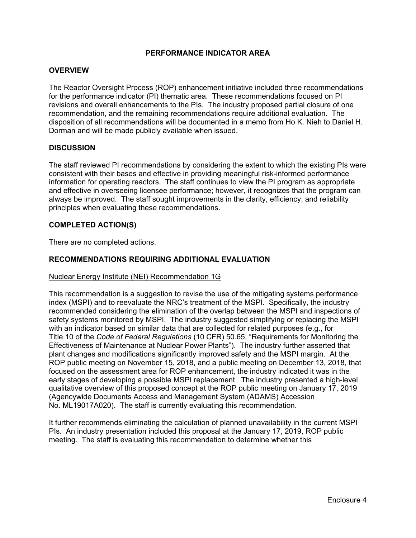## **PERFORMANCE INDICATOR AREA**

## **OVERVIEW**

The Reactor Oversight Process (ROP) enhancement initiative included three recommendations for the performance indicator (PI) thematic area. These recommendations focused on PI revisions and overall enhancements to the PIs. The industry proposed partial closure of one recommendation, and the remaining recommendations require additional evaluation. The disposition of all recommendations will be documented in a memo from Ho K. Nieh to Daniel H. Dorman and will be made publicly available when issued.

## **DISCUSSION**

The staff reviewed PI recommendations by considering the extent to which the existing PIs were consistent with their bases and effective in providing meaningful risk-informed performance information for operating reactors. The staff continues to view the PI program as appropriate and effective in overseeing licensee performance; however, it recognizes that the program can always be improved. The staff sought improvements in the clarity, efficiency, and reliability principles when evaluating these recommendations.

## **COMPLETED ACTION(S)**

There are no completed actions.

## **RECOMMENDATIONS REQUIRING ADDITIONAL EVALUATION**

#### Nuclear Energy Institute (NEI) Recommendation 1G

This recommendation is a suggestion to revise the use of the mitigating systems performance index (MSPI) and to reevaluate the NRC's treatment of the MSPI. Specifically, the industry recommended considering the elimination of the overlap between the MSPI and inspections of safety systems monitored by MSPI. The industry suggested simplifying or replacing the MSPI with an indicator based on similar data that are collected for related purposes (e.g., for Title 10 of the *Code of Federal Regulations* (10 CFR) 50.65, "Requirements for Monitoring the Effectiveness of Maintenance at Nuclear Power Plants"). The industry further asserted that plant changes and modifications significantly improved safety and the MSPI margin. At the ROP public meeting on November 15, 2018, and a public meeting on December 13, 2018, that focused on the assessment area for ROP enhancement, the industry indicated it was in the early stages of developing a possible MSPI replacement. The industry presented a high-level qualitative overview of this proposed concept at the ROP public meeting on January 17, 2019 (Agencywide Documents Access and Management System (ADAMS) Accession No. ML19017A020). The staff is currently evaluating this recommendation.

It further recommends eliminating the calculation of planned unavailability in the current MSPI PIs. An industry presentation included this proposal at the January 17, 2019, ROP public meeting. The staff is evaluating this recommendation to determine whether this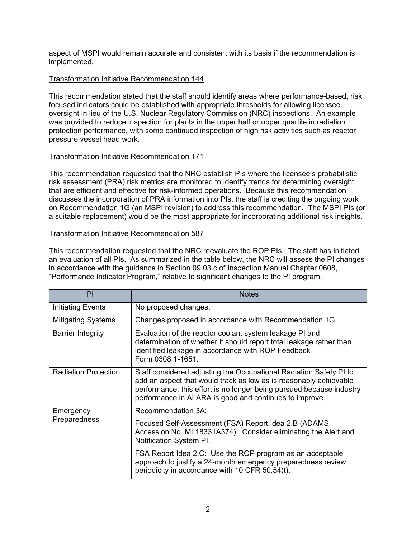aspect of MSPI would remain accurate and consistent with its basis if the recommendation is implemented.

# Transformation Initiative Recommendation 144

This recommendation stated that the staff should identify areas where performance-based, risk focused indicators could be established with appropriate thresholds for allowing licensee oversight in lieu of the U.S. Nuclear Regulatory Commission (NRC) inspections. An example was provided to reduce inspection for plants in the upper half or upper quartile in radiation protection performance, with some continued inspection of high risk activities such as reactor pressure vessel head work.

# Transformation Initiative Recommendation 171

This recommendation requested that the NRC establish PIs where the licensee's probabilistic risk assessment (PRA) risk metrics are monitored to identify trends for determining oversight that are efficient and effective for risk-informed operations. Because this recommendation discusses the incorporation of PRA information into PIs, the staff is crediting the ongoing work on Recommendation 1G (an MSPI revision) to address this recommendation. The MSPI PIs (or a suitable replacement) would be the most appropriate for incorporating additional risk insights.

# Transformation Initiative Recommendation 587

This recommendation requested that the NRC reevaluate the ROP PIs. The staff has initiated an evaluation of all PIs. As summarized in the table below, the NRC will assess the PI changes in accordance with the guidance in Section 09.03.c of Inspection Manual Chapter 0608, "Performance Indicator Program," relative to significant changes to the PI program.

| PI                          | <b>Notes</b>                                                                                                                                                                                                                                                              |
|-----------------------------|---------------------------------------------------------------------------------------------------------------------------------------------------------------------------------------------------------------------------------------------------------------------------|
| Initiating Events           | No proposed changes.                                                                                                                                                                                                                                                      |
| <b>Mitigating Systems</b>   | Changes proposed in accordance with Recommendation 1G.                                                                                                                                                                                                                    |
| <b>Barrier Integrity</b>    | Evaluation of the reactor coolant system leakage PI and<br>determination of whether it should report total leakage rather than<br>identified leakage in accordance with ROP Feedback<br>Form 0308.1-1651.                                                                 |
| <b>Radiation Protection</b> | Staff considered adjusting the Occupational Radiation Safety PI to<br>add an aspect that would track as low as is reasonably achievable<br>performance; this effort is no longer being pursued because industry<br>performance in ALARA is good and continues to improve. |
| Emergency<br>Preparedness   | Recommendation 3A:                                                                                                                                                                                                                                                        |
|                             | Focused Self-Assessment (FSA) Report Idea 2.B (ADAMS<br>Accession No. ML18331A374): Consider eliminating the Alert and<br>Notification System PI.                                                                                                                         |
|                             | FSA Report Idea 2.C: Use the ROP program as an acceptable<br>approach to justify a 24-month emergency preparedness review<br>periodicity in accordance with 10 CFR 50.54(t).                                                                                              |